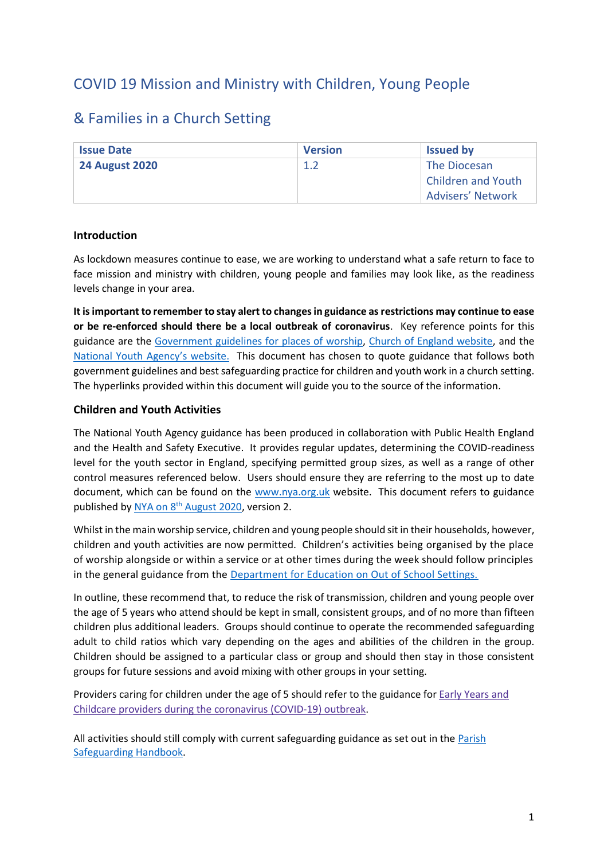# COVID 19 Mission and Ministry with Children, Young People

# & Families in a Church Setting

| <b>Issue Date</b>     | <b>Version</b> | <b>Issued by</b>          |
|-----------------------|----------------|---------------------------|
| <b>24 August 2020</b> | 1.2            | The Diocesan              |
|                       |                | <b>Children and Youth</b> |
|                       |                | <b>Advisers' Network</b>  |

#### **Introduction**

As lockdown measures continue to ease, we are working to understand what a safe return to face to face mission and ministry with children, young people and families may look like, as the readiness levels change in your area.

**It is important to remember to stay alert to changes in guidance as restrictions may continue to ease or be re-enforced should there be a local outbreak of coronavirus**. Key reference points for this guidance are the [Government guidelines for places of worship,](https://www.gov.uk/government/publications/covid-19-guidance-for-the-safe-use-of-places-of-worship-during-the-pandemic-from-4-july/covid-19-guidance-for-the-safe-use-of-places-of-worship-during-the-pandemic-from-4-july) [Church of England website,](https://www.churchofengland.org/more/media-centre/coronavirus-covid-19-guidance-churches) and the National You[th Agency's website](https://nya.org.uk/reacting-to-covid-19-advice-to-youth-services/). This document has chosen to quote guidance that follows both government guidelines and best safeguarding practice for children and youth work in a church setting. The hyperlinks provided within this document will guide you to the source of the information.

## **Children and Youth Activities**

The National Youth Agency guidance has been produced in collaboration with Public Health England and the Health and Safety Executive. It provides regular updates, determining the COVID-readiness level for the youth sector in England, specifying permitted group sizes, as well as a range of other control measures referenced below. Users should ensure they are referring to the most up to date document, which can be found on the [www.nya.org.uk](http://www.nya.org.uk/) website. This document refers to guidance published by NYA on 8<sup>th</sup> [August 2020,](https://nya.org.uk/wp-content/uploads/2020/08/NYA-Guidance-version-2.pdf) version 2.

Whilst in the main worship service, children and young people should sit in their households, however, children and youth activities are now permitted. Children's activities being organised by the place of worship alongside or within a service or at other times during the week should follow principles in the general guidance from the [Department for Education on Out of School Settings.](https://www.gov.uk/government/publications/protective-measures-for-holiday-or-after-school-clubs-and-other-out-of-school-settings-for-children-during-the-coronavirus-covid-19-outbreak/protective-measures-for-out-of-school-settings-during-the-coronavirus-covid-19-outbreak?fbclid=IwAR0NeshL-sLWnqW3aKx9PrvZCD2u2m9OBYIalAcYSkbiwv1InqjJlntEGk4)

In outline, these recommend that, to reduce the risk of transmission, children and young people over the age of 5 years who attend should be kept in small, consistent groups, and of no more than fifteen children plus additional leaders. Groups should continue to operate the recommended safeguarding adult to child ratios which vary depending on the ages and abilities of the children in the group. Children should be assigned to a particular class or group and should then stay in those consistent groups for future sessions and avoid mixing with other groups in your setting.

Providers caring for children under the age of 5 should refer to the guidance for Early [Years](https://www.gov.uk/government/publications/coronavirus-covid-19-early-years-and-childcare-closures/coronavirus-covid-19-early-years-and-childcare-closures#who-this-guidance-is-for) and Childcare providers during the [coronavirus](https://www.gov.uk/government/publications/coronavirus-covid-19-early-years-and-childcare-closures/coronavirus-covid-19-early-years-and-childcare-closures#who-this-guidance-is-for) (COVID-19) outbreak.

All activities should still comply with current safeguarding guidance as set out in the [Parish](https://www.churchofengland.org/sites/default/files/2019-10/ParishSafeGuardingHandBookAugust2019Web.pdf)  [Safeguarding Handbook.](https://www.churchofengland.org/sites/default/files/2019-10/ParishSafeGuardingHandBookAugust2019Web.pdf)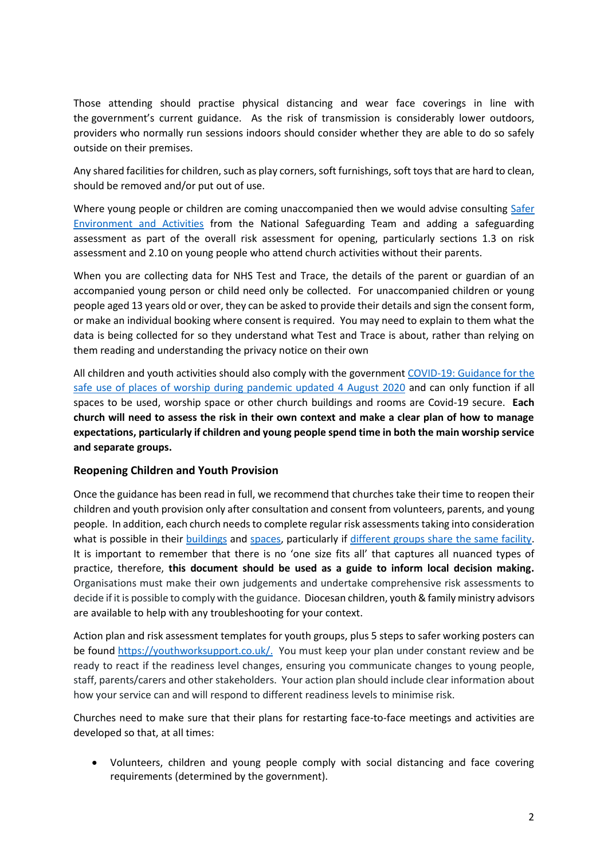Those attending should practise physical distancing and wear face coverings in line with the [government's current guidance](https://www.gov.uk/government/publications/staying-alert-and-safe-social-distancing/staying-alert-and-safe-social-distancing). As the risk of transmission is considerably lower outdoors, providers who normally run sessions indoors should consider whether they are able to do so safely outside on their premises.

Any shared facilities for children, such as play corners, soft furnishings, soft toys that are hard to clean, should be removed and/or put out of use.

Where young people or children are coming unaccompanied then we would advise consulting Safer [Environment and Activities](https://www.churchofengland.org/sites/default/files/2019-11/Safer%20Environment%20and%20Activities%20Oct19_0.pdf) from the National Safeguarding Team and adding a safeguarding assessment as part of the overall risk assessment for opening, particularly sections 1.3 on risk assessment and 2.10 on young people who attend church activities without their parents.

When you are collecting data for NHS Test and Trace, the details of the parent or guardian of an accompanied young person or child need only be collected. For unaccompanied children or young people aged 13 years old or over, they can be asked to provide their details and sign the consent form, or make an individual booking where consent is required. You may need to explain to them what the data is being collected for so they understand what Test and Trace is about, rather than relying on them reading and understanding the privacy notice on their own

All children and youth activities should also comply with the governmen[t COVID-19: Guidance for the](https://www.gov.uk/government/publications/covid-19-guidance-for-the-safe-use-of-places-of-worship-during-the-pandemic-from-4-july/covid-19-guidance-for-the-safe-use-of-places-of-worship-during-the-pandemic-from-4-july)  [safe use of places of worship during pandemic updated 4 August](https://www.gov.uk/government/publications/covid-19-guidance-for-the-safe-use-of-places-of-worship-during-the-pandemic-from-4-july/covid-19-guidance-for-the-safe-use-of-places-of-worship-during-the-pandemic-from-4-july) 2020 and can only function if all spaces to be used, worship space or other church buildings and rooms are Covid-19 secure. **Each church will need to assess the risk in their own context and make a clear plan of how to manage expectations, particularly if children and young people spend time in both the main worship service and separate groups.** 

#### **Reopening Children and Youth Provision**

Once the guidance has been read in full, we recommend that churches take their time to reopen their children and youth provision only after consultation and consent from volunteers, parents, and young people. In addition, each church needs to complete regular risk assessments taking into consideration what is possible in their [buildings](https://cte.org.uk/Articles/578334/Home/Coronavirus/Preparing_for_when.aspx) and [spaces,](https://www.churchofengland.org/more/media-centre/coronavirus-covid-19-guidance-churches#na) particularly if [different groups share the same facility.](https://cte.org.uk/Articles/578334/Home/Coronavirus/Preparing_for_when.aspx) It is important to remember that there is no 'one size fits all' that captures all nuanced types of practice, therefore, **this document should be used as a guide to inform local decision making.** Organisations must make their own judgements and undertake comprehensive risk assessments to decide if it is possible to comply with the guidance. Diocesan children, youth& family ministry advisors are available to help with any troubleshooting for your context.

Action plan and risk assessment templates for youth groups, plus 5 steps to safer working posters can be found [https://youthworksupport.co.uk/.](https://youthworksupport.co.uk/) You must keep your plan under constant review and be ready to react if the readiness level changes, ensuring you communicate changes to young people, staff, parents/carers and other stakeholders. Your action plan should include clear information about how your service can and will respond to different readiness levels to minimise risk.

Churches need to make sure that their plans for restarting face-to-face meetings and activities are developed so that, at all times:

• Volunteers, children and young people comply with social distancing and face covering requirements (determined by the government).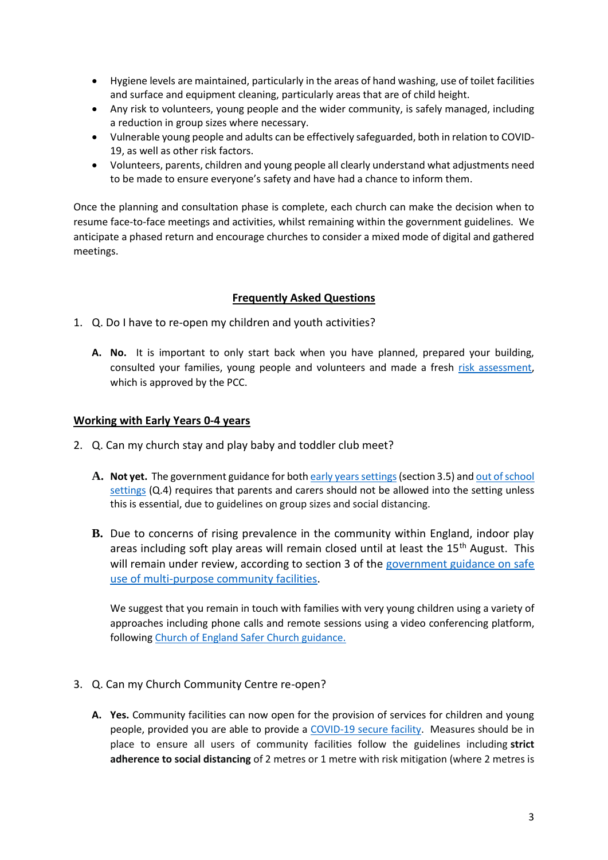- Hygiene levels are maintained, particularly in the areas of hand washing, use of toilet facilities and surface and equipment cleaning, particularly areas that are of child height.
- Any risk to volunteers, young people and the wider community, is safely managed, including a reduction in group sizes where necessary.
- Vulnerable young people and adults can be effectively safeguarded, both in relation to COVID-19, as well as other risk factors.
- Volunteers, parents, children and young people all clearly understand what adjustments need to be made to ensure everyone's safety and have had a chance to inform them.

Once the planning and consultation phase is complete, each church can make the decision when to resume face-to-face meetings and activities, whilst remaining within the government guidelines. We anticipate a phased return and encourage churches to consider a mixed mode of digital and gathered meetings.

## **Frequently Asked Questions**

- 1. Q. Do I have to re-open my children and youth activities?
	- **A. No.** It is important to only start back when you have planned, prepared your building, consulted your families, young people and volunteers and made a fresh [risk assessment,](https://youthworksupport.co.uk/) which is approved by the PCC.

#### **Working with Early Years 0-4 years**

- 2. Q. Can my church stay and play baby and toddler club meet?
	- **A. Not yet.** The government guidance for bot[h early years settings\(](https://www.gov.uk/government/publications/coronavirus-covid-19-early-years-and-childcare-closures/coronavirus-covid-19-early-years-and-childcare-closures#who-this-guidance-is-for)section 3.5) an[d out of school](https://www.gov.uk/government/publications/protective-measures-for-holiday-or-after-school-clubs-and-other-out-of-school-settings-for-children-during-the-coronavirus-covid-19-outbreak/protective-measures-for-out-of-school-settings-during-the-coronavirus-covid-19-outbreak?fbclid=IwAR0NeshL-sLWnqW3aKx9PrvZCD2u2m9OBYIalAcYSkbiwv1InqjJlntEGk4)  [settings](https://www.gov.uk/government/publications/protective-measures-for-holiday-or-after-school-clubs-and-other-out-of-school-settings-for-children-during-the-coronavirus-covid-19-outbreak/protective-measures-for-out-of-school-settings-during-the-coronavirus-covid-19-outbreak?fbclid=IwAR0NeshL-sLWnqW3aKx9PrvZCD2u2m9OBYIalAcYSkbiwv1InqjJlntEGk4) (Q.4) requires that parents and carers should not be allowed into the setting unless this is essential, due to guidelines on group sizes and social distancing.
	- **B.** Due to concerns of rising prevalence in the community within England, indoor play areas including soft play areas will remain closed until at least the 15<sup>th</sup> August. This will remain under review, according to section 3 of the government guidance on safe [use of multi-purpose community facilities.](https://www.gov.uk/government/publications/covid-19-guidance-for-the-safe-use-of-multi-purpose-community-facilities/covid-19-guidance-for-the-safe-use-of-multi-purpose-community-facilities)

We suggest that you remain in touch with families with very young children using a variety of approaches including phone calls and remote sessions using a video conferencing platform, following [Church of England Safer Church guidance.](https://www.churchofengland.org/sites/default/files/2020-04/Being%20connected%20with%20ZOOM%20safely.pdf)

- 3. Q. Can my Church Community Centre re-open?
	- **A. Yes.** Community facilities can now open for the provision of services for children and young people, provided you are able to provide a [COVID-19 secure facility.](https://www.gov.uk/guidance/working-safely-during-coronavirus-covid-19) Measures should be in place to ensure all users of community facilities follow the guidelines including **strict adherence to social distancing** of 2 metres or 1 metre with risk mitigation (where 2 metres is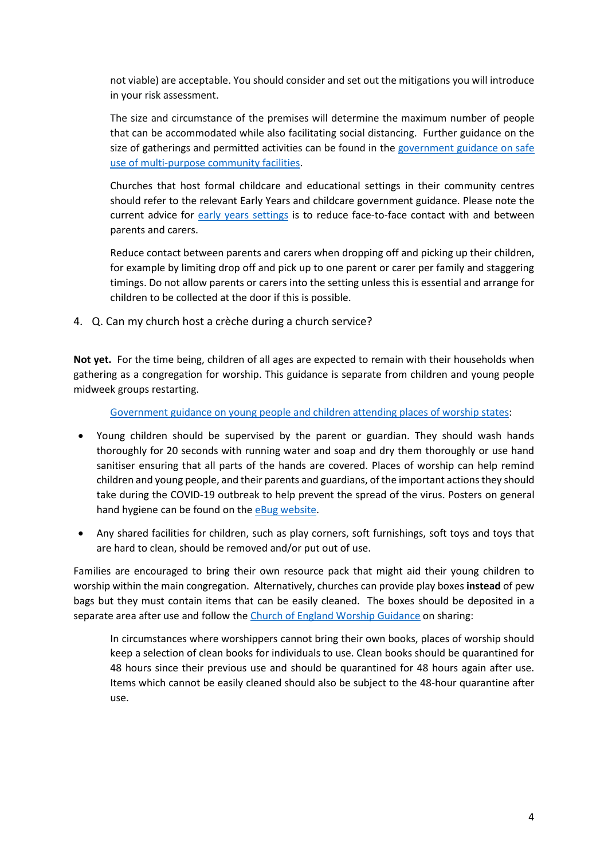not viable) are acceptable. You should consider and set out the mitigations you will introduce in your risk assessment.

The size and circumstance of the premises will determine the maximum number of people that can be accommodated while also facilitating social distancing. Further guidance on the size of gatherings and permitted activities can be found in the government guidance on safe [use of multi-purpose community facilities.](https://www.gov.uk/government/publications/covid-19-guidance-for-the-safe-use-of-multi-purpose-community-facilities/covid-19-guidance-for-the-safe-use-of-multi-purpose-community-facilities)

Churches that host formal childcare and educational settings in their community centres should refer to the relevant Early Years and childcare government guidance. Please note the current advice for [early years settings](https://www.gov.uk/government/publications/coronavirus-covid-19-early-years-and-childcare-closures/coronavirus-covid-19-early-years-and-childcare-closures#who-this-guidance-is-for) is to reduce face-to-face contact with and between parents and carers.

Reduce contact between parents and carers when dropping off and picking up their children, for example by limiting drop off and pick up to one parent or carer per family and staggering timings. Do not allow parents or carers into the setting unless this is essential and arrange for children to be collected at the door if this is possible.

4. Q. Can my church host a crèche during a church service?

**Not yet.** For the time being, children of all ages are expected to remain with their households when gathering as a congregation for worship. This guidance is separate from children and young people midweek groups restarting.

[Government guidance on young people and children attending places of worship states:](https://www.gov.uk/government/publications/covid-19-guidance-for-the-safe-use-of-places-of-worship-during-the-pandemic-from-4-july/covid-19-guidance-for-the-safe-use-of-places-of-worship-during-the-pandemic-from-4-july)

- Young children should be supervised by the parent or guardian. They should wash hands thoroughly for 20 seconds with running water and soap and dry them thoroughly or use hand sanitiser ensuring that all parts of the hands are covered. Places of worship can help remind children and young people, and their parents and guardians, of the important actions they should take during the COVID-19 outbreak to help prevent the spread of the virus. Posters on general hand hygiene can be found on th[e eBug website.](https://campaignresources.phe.gov.uk/schools)
- Any shared facilities for children, such as play corners, soft furnishings, soft toys and toys that are hard to clean, should be removed and/or put out of use.

Families are encouraged to bring their own resource pack that might aid their young children to worship within the main congregation. Alternatively, churches can provide play boxes **instead** of pew bags but they must contain items that can be easily cleaned. The boxes should be deposited in a separate area after use and follow the [Church of England Worship Guidance](https://www.churchofengland.org/sites/default/files/2020-07/COVID%2019%20advice%20on%20conducting%20public%20worship%20v1.2.pdf) on sharing:

In circumstances where worshippers cannot bring their own books, places of worship should keep a selection of clean books for individuals to use. Clean books should be quarantined for 48 hours since their previous use and should be quarantined for 48 hours again after use. Items which cannot be easily cleaned should also be subject to the 48-hour quarantine after use.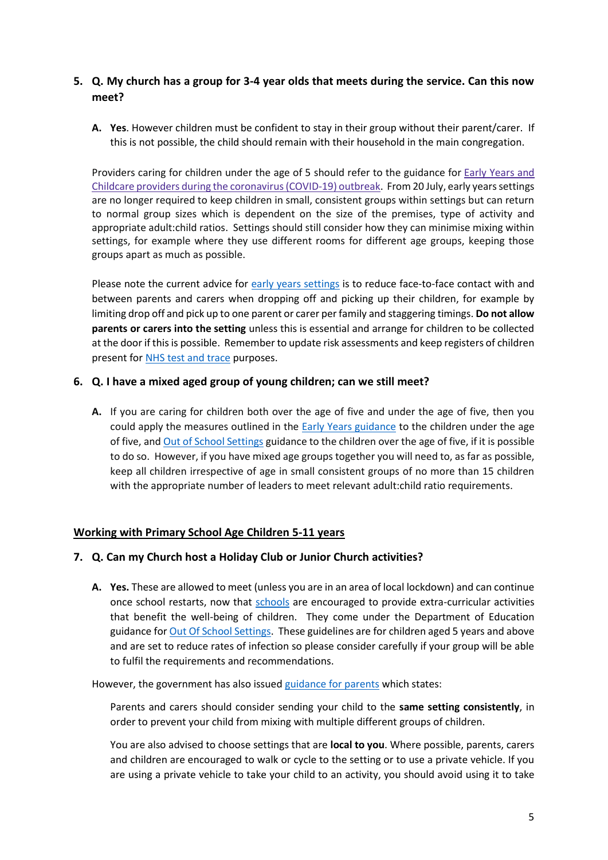# **5. Q. My church has a group for 3-4 year olds that meets during the service. Can this now meet?**

**A. Yes**. However children must be confident to stay in their group without their parent/carer. If this is not possible, the child should remain with their household in the main congregation.

Providers caring for children under the age of 5 should refer to the guidance for Early [Years](https://www.gov.uk/government/publications/coronavirus-covid-19-early-years-and-childcare-closures/coronavirus-covid-19-early-years-and-childcare-closures#who-this-guidance-is-for) and Childcare providers during the [coronavirus\(COVID-19\)](https://www.gov.uk/government/publications/coronavirus-covid-19-early-years-and-childcare-closures/coronavirus-covid-19-early-years-and-childcare-closures#who-this-guidance-is-for) outbreak. From 20 July, early years settings are no longer required to keep children in small, consistent groups within settings but can return to normal group sizes which is dependent on the size of the premises, type of activity and appropriate adult:child ratios. Settings should still consider how they can minimise mixing within settings, for example where they use different rooms for different age groups, keeping those groups apart as much as possible.

Please note the current advice for [early years settings](https://www.gov.uk/government/publications/coronavirus-covid-19-early-years-and-childcare-closures/coronavirus-covid-19-early-years-and-childcare-closures#who-this-guidance-is-for) is to reduce face-to-face contact with and between parents and carers when dropping off and picking up their children, for example by limiting drop off and pick up to one parent or carer per family and staggering timings. **Do not allow parents or carers into the setting** unless this is essential and arrange for children to be collected at the door if this is possible. Remember to update risk assessments and keep registers of children present for NHS test [and trace](https://www.nhs.uk/conditions/coronavirus-covid-19/testing-and-tracing/) purposes.

#### **6. Q. I have a mixed aged group of young children; can we still meet?**

**A.** If you are caring for children both over the age of five and under the age of five, then you could apply the measures outlined in the [Early Years guidance](https://www.gov.uk/government/publications/coronavirus-covid-19-early-years-and-childcare-closures/coronavirus-covid-19-early-years-and-childcare-closures#who-this-guidance-is-for) to the children under the age of five, and [Out of School Settings](https://www.gov.uk/government/publications/protective-measures-for-holiday-or-after-school-clubs-and-other-out-of-school-settings-for-children-during-the-coronavirus-covid-19-outbreak/protective-measures-for-out-of-school-settings-during-the-coronavirus-covid-19-outbreak?fbclid=IwAR0NeshL-sLWnqW3aKx9PrvZCD2u2m9OBYIalAcYSkbiwv1InqjJlntEGk4) guidance to the children over the age of five, if it is possible to do so. However, if you have mixed age groups together you will need to, as far as possible, keep all children irrespective of age in small consistent groups of no more than 15 children with the appropriate number of leaders to meet relevant adult:child ratio requirements.

#### **Working with Primary School Age Children 5-11 years**

#### **7. Q. Can my Church host a Holiday Club or Junior Church activities?**

**A. Yes.** These are allowed to meet (unless you are in an area of local lockdown) and can continue once school restarts, now that [schools](https://www.gov.uk/government/publications/actions-for-schools-during-the-coronavirus-outbreak/guidance-for-full-opening-schools#section-3-curriculum-behaviour-and-pastoral-support) are encouraged to provide extra-curricular activities that benefit the well-being of children. They come under the Department of Education guidance for [Out Of School Settings.](https://www.gov.uk/government/publications/protective-measures-for-holiday-or-after-school-clubs-and-other-out-of-school-settings-for-children-during-the-coronavirus-covid-19-outbreak/protective-measures-for-out-of-school-settings-during-the-coronavirus-covid-19-outbreak?fbclid=IwAR0NeshL-sLWnqW3aKx9PrvZCD2u2m9OBYIalAcYSkbiwv1InqjJlntEGk4) These guidelines are for children aged 5 years and above and are set to reduce rates of infection so please consider carefully if your group will be able to fulfil the requirements and recommendations.

However, the government has also issued [guidance for parents](https://www.gov.uk/government/publications/what-parents-and-carers-need-to-know-about-early-years-providers-schools-and-colleges-during-the-coronavirus-covid-19-outbreak/what-parents-and-carers-need-to-know-about-early-years-providers-schools-and-colleges-in-the-autumn-term) which states:

Parents and carers should consider sending your child to the **same setting consistently**, in order to prevent your child from mixing with multiple different groups of children.

You are also advised to choose settings that are **local to you**. Where possible, parents, carers and children are encouraged to walk or cycle to the setting or to use a private vehicle. If you are using a private vehicle to take your child to an activity, you should avoid using it to take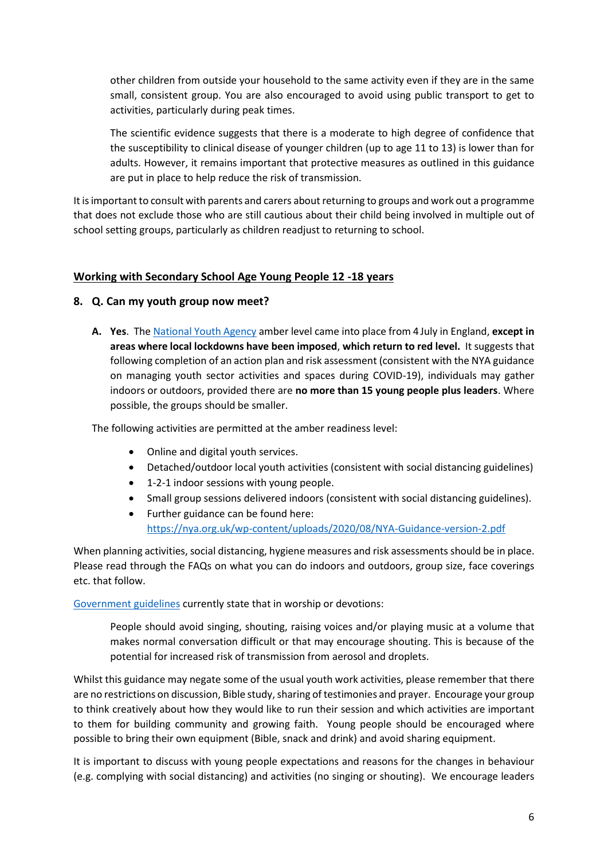other children from outside your household to the same activity even if they are in the same small, consistent group. You are also encouraged to avoid using public transport to get to activities, particularly during peak times.

The scientific evidence suggests that there is a moderate to high degree of confidence that the susceptibility to clinical disease of younger children (up to age 11 to 13) is lower than for adults. However, it remains important that protective measures as outlined in this guidance are put in place to help reduce the risk of transmission.

It is important to consult with parents and carers about returning to groups and work out a programme that does not exclude those who are still cautious about their child being involved in multiple out of school setting groups, particularly as children readjust to returning to school.

#### **Working with Secondary School Age Young People 12 -18 years**

#### **8. Q. Can my youth group now meet?**

**A. Yes**. The [National Youth Agency](https://nya.org.uk/) amber level came into place from 4 July in England, **except in areas where local lockdowns have been imposed**, **which return to red level.** It suggests that following completion of an action plan and risk assessment (consistent with the NYA guidance on managing youth sector activities and spaces during COVID-19), individuals may gather indoors or outdoors, provided there are **no more than 15 young people plus leaders**. Where possible, the groups should be smaller.

The following activities are permitted at the amber readiness level:

- Online and digital youth services.
- Detached/outdoor local youth activities (consistent with social distancing guidelines)
- 1-2-1 indoor sessions with young people.
- Small group sessions delivered indoors (consistent with social distancing guidelines).
- Further guidance can be found here:
	- <https://nya.org.uk/wp-content/uploads/2020/08/NYA-Guidance-version-2.pdf>

When planning activities, social distancing, hygiene measures and risk assessments should be in place. Please read through the FAQs on what you can do indoors and outdoors, group size, face coverings etc. that follow.

[Government guidelines](https://www.gov.uk/government/publications/covid-19-guidance-for-the-safe-use-of-places-of-worship-during-the-pandemic-from-4-july/covid-19-guidance-for-the-safe-use-of-places-of-worship-during-the-pandemic-from-4-july) currently state that in worship or devotions:

People should avoid singing, shouting, raising voices and/or playing music at a volume that makes normal conversation difficult or that may encourage shouting. This is because of the potential for increased risk of transmission from aerosol and droplets.

Whilst this guidance may negate some of the usual youth work activities, please remember that there are no restrictions on discussion, Bible study, sharing of testimonies and prayer. Encourage your group to think creatively about how they would like to run their session and which activities are important to them for building community and growing faith. Young people should be encouraged where possible to bring their own equipment (Bible, snack and drink) and avoid sharing equipment.

It is important to discuss with young people expectations and reasons for the changes in behaviour (e.g. complying with social distancing) and activities (no singing or shouting). We encourage leaders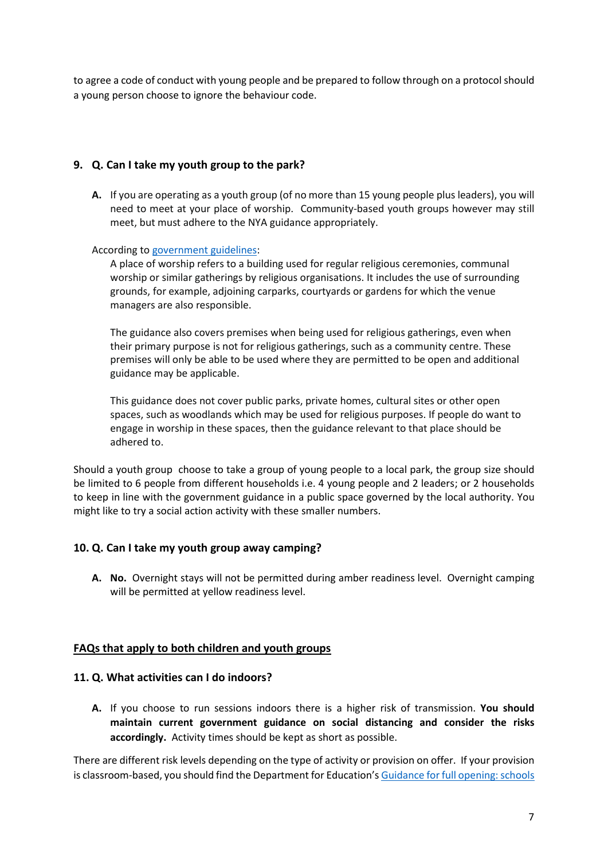to agree a code of conduct with young people and be prepared to follow through on a protocol should a young person choose to ignore the behaviour code.

## **9. Q. Can I take my youth group to the park?**

**A.** If you are operating as a youth group (of no more than 15 young people plus leaders), you will need to meet at your place of worship. Community-based youth groups however may still meet, but must adhere to the NYA guidance appropriately.

According to [government guidelines:](https://www.gov.uk/government/publications/covid-19-guidance-for-the-safe-use-of-places-of-worship-during-the-pandemic-from-4-july/covid-19-guidance-for-the-safe-use-of-places-of-worship-during-the-pandemic-from-4-july)

A place of worship refers to a building used for regular religious ceremonies, communal worship or similar gatherings by religious organisations. It includes the use of surrounding grounds, for example, adjoining carparks, courtyards or gardens for which the venue managers are also responsible.

The guidance also covers premises when being used for religious gatherings, even when their primary purpose is not for religious gatherings, such as a community centre. These premises will only be able to be used where they are permitted to be open and additional guidance may be applicable.

This guidance does not cover public parks, private homes, cultural sites or other open spaces, such as woodlands which may be used for religious purposes. If people do want to engage in worship in these spaces, then the guidance relevant to that place should be adhered to.

Should a youth group choose to take a group of young people to a local park, the group size should be limited to 6 people from different households i.e. 4 young people and 2 leaders; or 2 households to keep in line with the government guidance in a public space governed by the local authority. You might like to try a social action activity with these smaller numbers.

#### **10. Q. Can I take my youth group away camping?**

**A. No.** Overnight stays will not be permitted during amber readiness level. Overnight camping will be permitted at yellow readiness level.

#### **FAQs that apply to both children and youth groups**

#### **11. Q. What activities can I do indoors?**

**A.** If you choose to run sessions indoors there is a higher risk of transmission. **You should maintain current government guidance on social distancing and consider the risks accordingly.** Activity times should be kept as short as possible.

There are different risk levels depending on the type of activity or provision on offer. If your provision is classroom-based, you should find the Department for Education's [Guidance for full opening: schools](https://www.gov.uk/government/publications/actions-for-schools-during-the-coronavirus-outbreak/guidance-for-full-opening-schools#section-3-curriculum-behaviour-and-pastoral-support)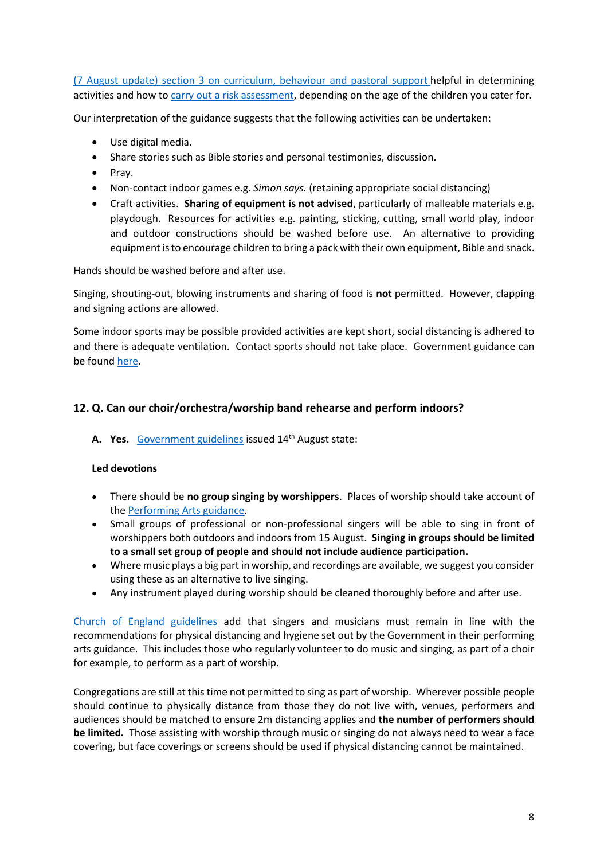(7 August update) [section 3 on curriculum, behaviour](https://www.gov.uk/government/publications/actions-for-schools-during-the-coronavirus-outbreak/guidance-for-full-opening-schools#section-3-curriculum-behaviour-and-pastoral-support) and pastoral support helpful in determining activities and how to [carry out a risk assessment,](https://www.gov.uk/government/publications/actions-for-schools-during-the-coronavirus-outbreak/guidance-for-full-opening-schools#A) depending on the age of the children you cater for.

Our interpretation of the guidance suggests that the following activities can be undertaken:

- Use digital media.
- Share stories such as Bible stories and personal testimonies, discussion.
- Pray.
- Non-contact indoor games e.g. *Simon says.* (retaining appropriate social distancing)
- Craft activities. **Sharing of equipment is not advised**, particularly of malleable materials e.g. playdough. Resources for activities e.g. painting, sticking, cutting, small world play, indoor and outdoor constructions should be washed before use. An alternative to providing equipment is to encourage children to bring a pack with their own equipment, Bible and snack.

Hands should be washed before and after use.

Singing, shouting-out, blowing instruments and sharing of food is **not** permitted. However, clapping and signing actions are allowed.

Some indoor sports may be possible provided activities are kept short, social distancing is adhered to and there is adequate ventilation. Contact sports should not take place. Government guidance can be foun[d here.](https://www.gov.uk/guidance/working-safely-during-coronavirus-covid-19/providers-of-grassroots-sport-and-gym-leisure-facilities)

## **12. Q. Can our choir/orchestra/worship band rehearse and perform indoors?**

A. Yes. [Government guidelines](https://www.gov.uk/government/publications/covid-19-guidance-for-the-safe-use-of-places-of-worship-during-the-pandemic-from-4-july/covid-19-guidance-for-the-safe-use-of-places-of-worship-during-the-pandemic-from-4-july) issued 14<sup>th</sup> August state:

#### **Led devotions**

- There should be **no group singing by worshippers**. Places of worship should take account of th[e Performing Arts guidance.](https://www.gov.uk/guidance/working-safely-during-coronavirus-covid-19/performing-arts)
- Small groups of professional or non-professional singers will be able to sing in front of worshippers both outdoors and indoors from 15 August. **Singing in groups should be limited to a small set group of people and should not include audience participation.**
- Where music plays a big part in worship, and recordings are available, we suggest you consider using these as an alternative to live singing.
- Any instrument played during worship should be cleaned thoroughly before and after use.

[Church of England guidelines](https://www.churchofengland.org/sites/default/files/2020-08/COVID%2019%20advice%20on%20conducting%20public%20worship%20v2.1.pdf) add that singers and musicians must remain in line with the recommendations for physical distancing and hygiene set out by the Government in their performing arts guidance. This includes those who regularly volunteer to do music and singing, as part of a choir for example, to perform as a part of worship.

Congregations are still at this time not permitted to sing as part of worship. Wherever possible people should continue to physically distance from those they do not live with, venues, performers and audiences should be matched to ensure 2m distancing applies and **the number of performers should be limited.** Those assisting with worship through music or singing do not always need to wear a face covering, but face coverings or screens should be used if physical distancing cannot be maintained.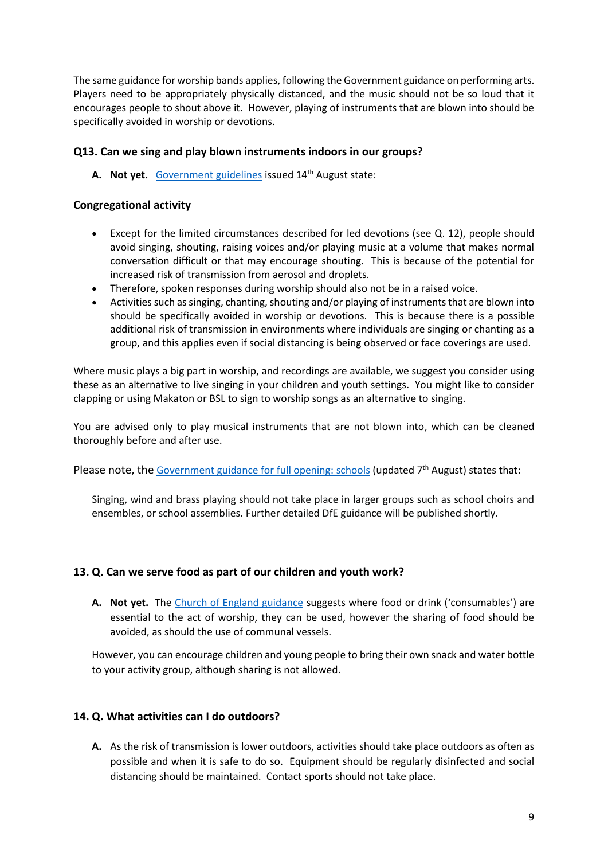The same guidance for worship bands applies, following the Government guidance on performing arts. Players need to be appropriately physically distanced, and the music should not be so loud that it encourages people to shout above it. However, playing of instruments that are blown into should be specifically avoided in worship or devotions.

#### **Q13. Can we sing and play blown instruments indoors in our groups?**

**A. Not yet.** [Government guidelines](https://www.gov.uk/government/publications/covid-19-guidance-for-the-safe-use-of-places-of-worship-during-the-pandemic-from-4-july/covid-19-guidance-for-the-safe-use-of-places-of-worship-during-the-pandemic-from-4-july) issued 14th August state:

#### **Congregational activity**

- Except for the limited circumstances described for led devotions (see Q. 12), people should avoid singing, shouting, raising voices and/or playing music at a volume that makes normal conversation difficult or that may encourage shouting. This is because of the potential for increased risk of transmission from aerosol and droplets.
- Therefore, spoken responses during worship should also not be in a raised voice.
- Activities such as singing, chanting, shouting and/or playing of instruments that are blown into should be specifically avoided in worship or devotions. This is because there is a possible additional risk of transmission in environments where individuals are singing or chanting as a group, and this applies even if social distancing is being observed or face coverings are used.

Where music plays a big part in worship, and recordings are available, we suggest you consider using these as an alternative to live singing in your children and youth settings. You might like to consider clapping or using Makaton or BSL to sign to worship songs as an alternative to singing.

You are advised only to play musical instruments that are not blown into, which can be cleaned thoroughly before and after use.

Please note, the [Government guidance for full opening:](https://www.gov.uk/government/publications/actions-for-schools-during-the-coronavirus-outbreak/guidance-for-full-opening-schools) schools (updated  $7<sup>th</sup>$  August) states that:

Singing, wind and brass playing should not take place in larger groups such as school choirs and ensembles, or school assemblies. Further detailed DfE guidance will be published shortly.

#### **13. Q. Can we serve food as part of our children and youth work?**

**A. Not yet.** The [Church of England guidance](https://www.churchofengland.org/more/media-centre/coronavirus-covid-19-guidance-churches) suggests where food or drink ('consumables') are essential to the act of worship, they can be used, however the sharing of food should be avoided, as should the use of communal vessels.

However, you can encourage children and young people to bring their own snack and water bottle to your activity group, although sharing is not allowed.

#### **14. Q. What activities can I do outdoors?**

**A.** As the risk of transmission is lower outdoors, activities should take place outdoors as often as possible and when it is safe to do so. Equipment should be regularly disinfected and social distancing should be maintained. Contact sports should not take place.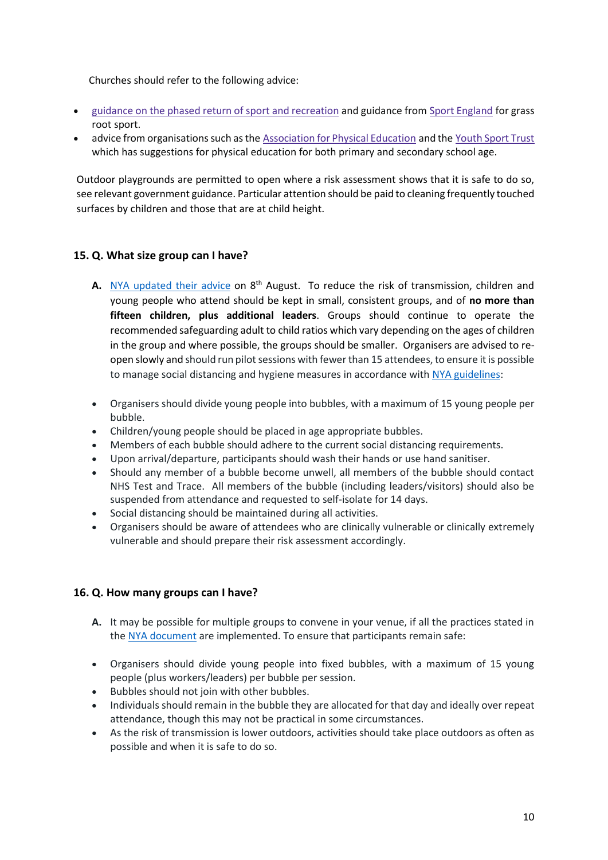Churches should refer to the following advice:

- guidance on the phased return of sport and [recreation](https://www.gov.uk/government/publications/coronavirus-covid-19-guidance-on-phased-return-of-sport-and-recreation) and guidance from Sport [England](https://www.sportengland.org/how-we-can-help/coronavirus) for grass root sport.
- advice from organisations such as the [Association](https://www.afpe.org.uk/physical-education/wp-content/uploads/COVID-19-Interpreting-the-Government-Guidance-in-a-PESSPA-Context-FINAL.pdf.) for Physical Education and the [Youth](https://www.youthsporttrust.org/coronavirus-support-schools) Sport Trust which has suggestions for physical education for both primary and secondary school age.

Outdoor playgrounds are permitted to open where a risk assessment shows that it is safe to do so, see relevant government guidance. Particular attention should be paid to cleaning frequently touched surfaces by children and those that are at child height.

## **15. Q. What size group can I have?**

- A. [NYA updated their advice](https://nya.org.uk/wp-content/uploads/2020/08/NYA-Guidance-version-2.pdf) on 8<sup>th</sup> August. To reduce the risk of transmission, children and young people who attend should be kept in small, consistent groups, and of **no more than fifteen children, plus additional leaders**. Groups should continue to operate the recommended safeguarding adult to child ratios which vary depending on the ages of children in the group and where possible, the groups should be smaller. Organisers are advised to reopen slowly and should run pilot sessions with fewer than 15 attendees, to ensure it is possible to manage social distancing and hygiene measures in accordance with [NYA guidelines:](https://nya.org.uk/wp-content/uploads/2020/08/NYA-Guidance-version-2.pdf)
- Organisers should divide young people into bubbles, with a maximum of 15 young people per bubble.
- Children/young people should be placed in age appropriate bubbles.
- Members of each bubble should adhere to the current social distancing requirements.
- Upon arrival/departure, participants should wash their hands or use hand sanitiser.
- Should any member of a bubble become unwell, all members of the bubble should contact NHS Test and Trace. All members of the bubble (including leaders/visitors) should also be suspended from attendance and requested to self-isolate for 14 days.
- Social distancing should be maintained during all activities.
- Organisers should be aware of attendees who are clinically vulnerable or clinically extremely vulnerable and should prepare their risk assessment accordingly.

#### **16. Q. How many groups can I have?**

- **A.** It may be possible for multiple groups to convene in your venue, if all the practices stated in th[e NYA document](https://nya.org.uk/wp-content/uploads/2020/08/NYA-Guidance-version-2.pdf) are implemented. To ensure that participants remain safe:
- Organisers should divide young people into fixed bubbles, with a maximum of 15 young people (plus workers/leaders) per bubble per session.
- Bubbles should not join with other bubbles.
- Individuals should remain in the bubble they are allocated for that day and ideally over repeat attendance, though this may not be practical in some circumstances.
- As the risk of transmission is lower outdoors, activities should take place outdoors as often as possible and when it is safe to do so.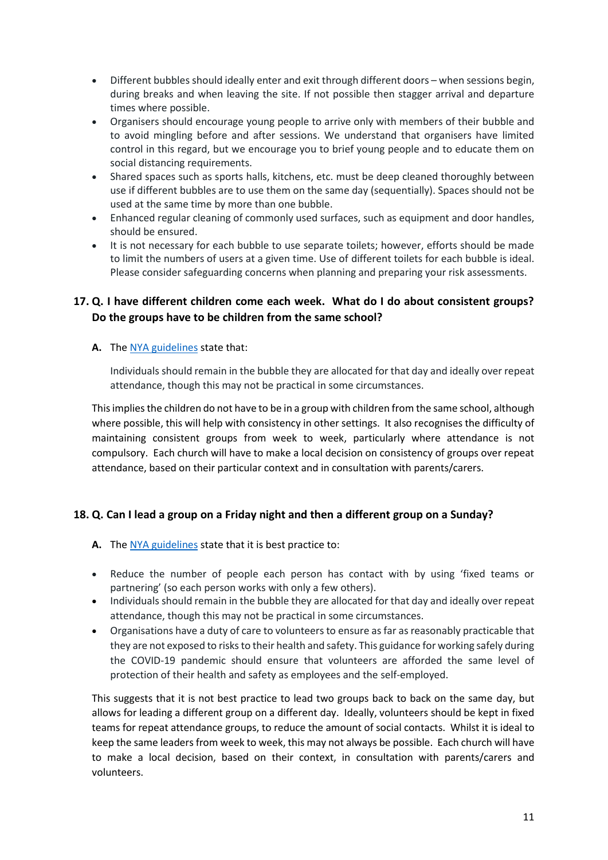- Different bubbles should ideally enter and exit through different doors when sessions begin, during breaks and when leaving the site. If not possible then stagger arrival and departure times where possible.
- Organisers should encourage young people to arrive only with members of their bubble and to avoid mingling before and after sessions. We understand that organisers have limited control in this regard, but we encourage you to brief young people and to educate them on social distancing requirements.
- Shared spaces such as sports halls, kitchens, etc. must be deep cleaned thoroughly between use if different bubbles are to use them on the same day (sequentially). Spaces should not be used at the same time by more than one bubble.
- Enhanced regular cleaning of commonly used surfaces, such as equipment and door handles, should be ensured.
- It is not necessary for each bubble to use separate toilets; however, efforts should be made to limit the numbers of users at a given time. Use of different toilets for each bubble is ideal. Please consider safeguarding concerns when planning and preparing your risk assessments.

# **17. Q. I have different children come each week. What do I do about consistent groups? Do the groups have to be children from the same school?**

## A. The [NYA guidelines](https://nya.org.uk/wp-content/uploads/2020/08/NYA-Guidance-version-2.pdf) state that:

Individuals should remain in the bubble they are allocated for that day and ideally over repeat attendance, though this may not be practical in some circumstances.

This implies the children do not have to be in a group with children from the same school, although where possible, this will help with consistency in other settings. It also recognises the difficulty of maintaining consistent groups from week to week, particularly where attendance is not compulsory. Each church will have to make a local decision on consistency of groups over repeat attendance, based on their particular context and in consultation with parents/carers.

# **18. Q. Can I lead a group on a Friday night and then a different group on a Sunday?**

- **A.** The [NYA guidelines](https://nya.org.uk/wp-content/uploads/2020/08/NYA-Guidance-version-2.pdf) state that it is best practice to:
- Reduce the number of people each person has contact with by using 'fixed teams or partnering' (so each person works with only a few others).
- Individuals should remain in the bubble they are allocated for that day and ideally over repeat attendance, though this may not be practical in some circumstances.
- Organisations have a duty of care to volunteers to ensure as far as reasonably practicable that they are not exposed to risks to their health and safety. This guidance for working safely during the COVID-19 pandemic should ensure that volunteers are afforded the same level of protection of their health and safety as employees and the self-employed.

This suggests that it is not best practice to lead two groups back to back on the same day, but allows for leading a different group on a different day. Ideally, volunteers should be kept in fixed teams for repeat attendance groups, to reduce the amount of social contacts. Whilst it is ideal to keep the same leaders from week to week, this may not always be possible. Each church will have to make a local decision, based on their context, in consultation with parents/carers and volunteers.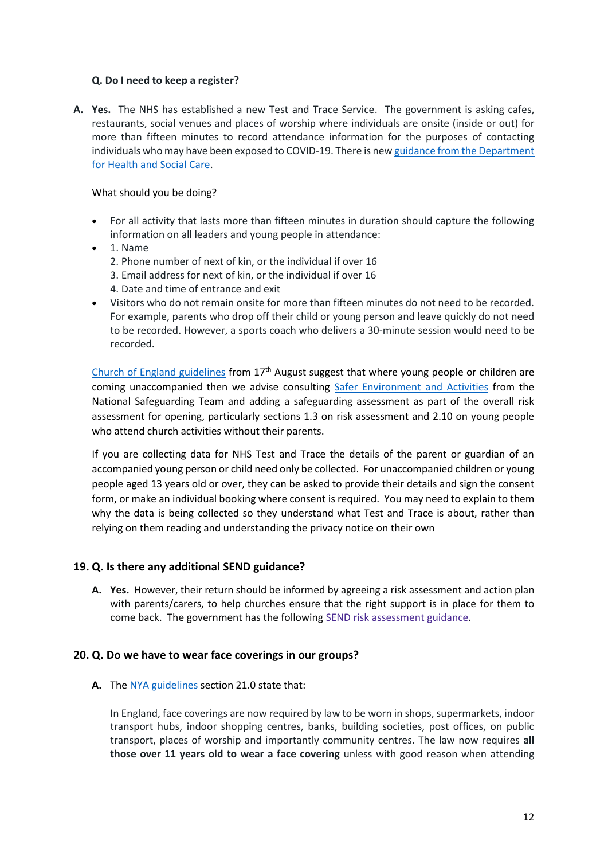#### **Q. Do I need to keep a register?**

**A. Yes.** The NHS has established a new Test and Trace Service. The government is asking cafes, restaurants, social venues and places of worship where individuals are onsite (inside or out) for more than fifteen minutes to record attendance information for the purposes of contacting individuals who may have been exposed to COVID-19. There is ne[w guidance from the Department](https://www.gov.uk/guidance/nhs-test-and-trace-how-it-works)  [for Health and Social Care.](https://www.gov.uk/guidance/nhs-test-and-trace-how-it-works)

#### What should you be doing?

- For all activity that lasts more than fifteen minutes in duration should capture the following information on all leaders and young people in attendance:
- 1. Name 2. Phone number of next of kin, or the individual if over 16 3. Email address for next of kin, or the individual if over 16 4. Date and time of entrance and exit
- Visitors who do not remain onsite for more than fifteen minutes do not need to be recorded. For example, parents who drop off their child or young person and leave quickly do not need to be recorded. However, a sports coach who delivers a 30-minute session would need to be recorded.

[Church of England guidelines](https://www.churchofengland.org/sites/default/files/2020-08/COVID%2019%20advice%20on%20conducting%20public%20worship%20v2.1.pdf) from 17<sup>th</sup> August suggest that where young people or children are coming unaccompanied then we advise consulting [Safer Environment and Activities](https://www.churchofengland.org/sites/default/files/2019-11/Safer%20Environment%20and%20Activities%20Oct19_0.pdf) from the National Safeguarding Team and adding a safeguarding assessment as part of the overall risk assessment for opening, particularly sections 1.3 on risk assessment and 2.10 on young people who attend church activities without their parents.

If you are collecting data for NHS Test and Trace the details of the parent or guardian of an accompanied young person or child need only be collected. For unaccompanied children or young people aged 13 years old or over, they can be asked to provide their details and sign the consent form, or make an individual booking where consent is required. You may need to explain to them why the data is being collected so they understand what Test and Trace is about, rather than relying on them reading and understanding the privacy notice on their own

# **19. Q. Is there any additional SEND guidance?**

**A. Yes.** However, their return should be informed by agreeing a risk assessment and action plan with parents/carers, to help churches ensure that the right support is in place for them to come back. The government has the following SEND risk [assessment](https://www.gov.uk/government/publications/coronavirus-covid-19-send-risk-assessment-guidance) guidance.

#### **20. Q. Do we have to wear face coverings in our groups?**

**A.** The [NYA guidelines](https://nya.org.uk/wp-content/uploads/2020/08/NYA-Guidance-version-2.pdf) section 21.0 state that:

In England, face coverings are now required by law to be worn in shops, supermarkets, indoor transport hubs, indoor shopping centres, banks, building societies, post offices, on public transport, places of worship and importantly community centres. The law now requires **all those over 11 years old to wear a face covering** unless with good reason when attending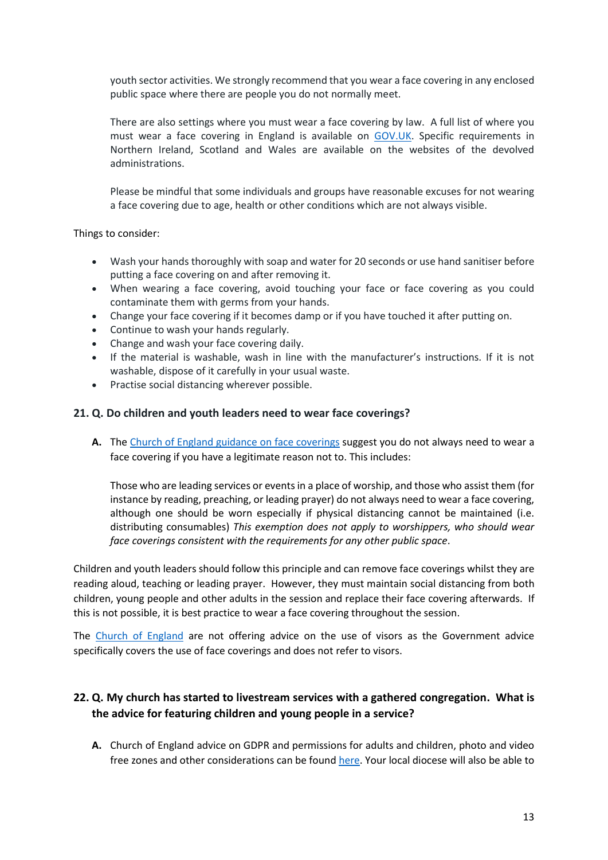youth sector activities. We strongly recommend that you wear a face covering in any enclosed public space where there are people you do not normally meet.

There are also settings where you must wear a face covering by law. A full list of where you must wear a face covering in England is available on [GOV.UK.](https://www.gov.uk/government/publications/face-coverings-when-to-wear-one-and-how-to-make-your-own) Specific requirements in Northern Ireland, Scotland and Wales are available on the websites of the devolved administrations.

Please be mindful that some individuals and groups have reasonable excuses for not wearing a face covering due to age, health or other conditions which are not always visible.

Things to consider:

- Wash your hands thoroughly with soap and water for 20 seconds or use hand sanitiser before putting a face covering on and after removing it.
- When wearing a face covering, avoid touching your face or face covering as you could contaminate them with germs from your hands.
- Change your face covering if it becomes damp or if you have touched it after putting on.
- Continue to wash your hands regularly.
- Change and wash your face covering daily.
- If the material is washable, wash in line with the manufacturer's instructions. If it is not washable, dispose of it carefully in your usual waste.
- Practise social distancing wherever possible.

#### **21. Q. Do children and youth leaders need to wear face coverings?**

**A.** The [Church of England guidance on face coverings](https://www.churchofengland.org/sites/default/files/2020-08/COVID%2019%20advice%20on%20face%20coverings%20v3.0.pdf) suggest you do not always need to wear a face covering if you have a legitimate reason not to. This includes:

Those who are leading services or events in a place of worship, and those who assist them (for instance by reading, preaching, or leading prayer) do not always need to wear a face covering, although one should be worn especially if physical distancing cannot be maintained (i.e. distributing consumables) *This exemption does not apply to worshippers, who should wear face coverings consistent with the requirements for any other public space*.

Children and youth leaders should follow this principle and can remove face coverings whilst they are reading aloud, teaching or leading prayer. However, they must maintain social distancing from both children, young people and other adults in the session and replace their face covering afterwards. If this is not possible, it is best practice to wear a face covering throughout the session.

The [Church of England](https://www.churchofengland.org/more/media-centre/coronavirus-covid-19-guidance-churches#na) are not offering advice on the use of visors as the Government advice specifically covers the use of face coverings and does not refer to visors.

# **22. Q. My church has started to livestream services with a gathered congregation. What is the advice for featuring children and young people in a service?**

**A.** Church of England advice on GDPR and permissions for adults and children, photo and video free zones and other considerations can be foun[d here.](https://www.churchofengland.org/more/church-resources/digital-labs/labs-learning-blog/supporting-congregations-and-people-exploring?utm_source=Daily+media+digest&utm_campaign=7e18432a8c-EMAIL_CAMPAIGN_2019_11_27_02_01_COPY_02&utm_medium=email&utm_) Your local diocese will also be able to